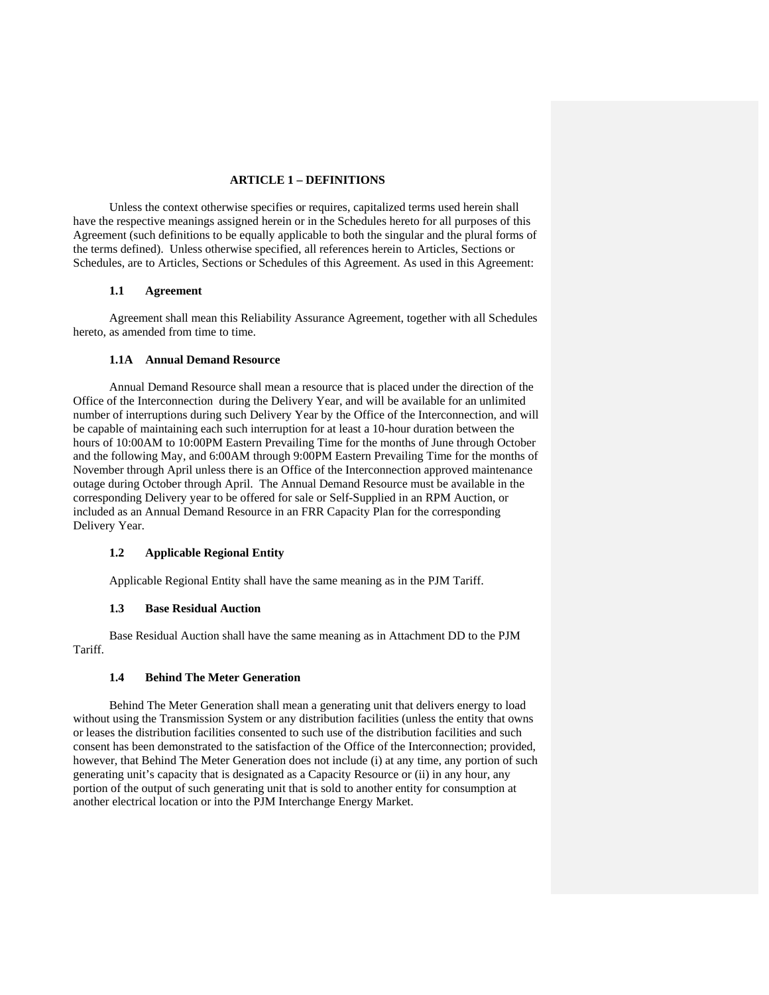# **ARTICLE 1 – DEFINITIONS**

Unless the context otherwise specifies or requires, capitalized terms used herein shall have the respective meanings assigned herein or in the Schedules hereto for all purposes of this Agreement (such definitions to be equally applicable to both the singular and the plural forms of the terms defined). Unless otherwise specified, all references herein to Articles, Sections or Schedules, are to Articles, Sections or Schedules of this Agreement. As used in this Agreement:

#### **1.1 Agreement**

Agreement shall mean this Reliability Assurance Agreement, together with all Schedules hereto, as amended from time to time.

## **1.1A Annual Demand Resource**

 Annual Demand Resource shall mean a resource that is placed under the direction of the Office of the Interconnection during the Delivery Year, and will be available for an unlimited number of interruptions during such Delivery Year by the Office of the Interconnection, and will be capable of maintaining each such interruption for at least a 10-hour duration between the hours of 10:00AM to 10:00PM Eastern Prevailing Time for the months of June through October and the following May, and 6:00AM through 9:00PM Eastern Prevailing Time for the months of November through April unless there is an Office of the Interconnection approved maintenance outage during October through April. The Annual Demand Resource must be available in the corresponding Delivery year to be offered for sale or Self-Supplied in an RPM Auction, or included as an Annual Demand Resource in an FRR Capacity Plan for the corresponding Delivery Year.

## **1.2 Applicable Regional Entity**

Applicable Regional Entity shall have the same meaning as in the PJM Tariff.

## **1.3 Base Residual Auction**

Base Residual Auction shall have the same meaning as in Attachment DD to the PJM Tariff.

# **1.4 Behind The Meter Generation**

Behind The Meter Generation shall mean a generating unit that delivers energy to load without using the Transmission System or any distribution facilities (unless the entity that owns or leases the distribution facilities consented to such use of the distribution facilities and such consent has been demonstrated to the satisfaction of the Office of the Interconnection; provided, however, that Behind The Meter Generation does not include (i) at any time, any portion of such generating unit's capacity that is designated as a Capacity Resource or (ii) in any hour, any portion of the output of such generating unit that is sold to another entity for consumption at another electrical location or into the PJM Interchange Energy Market.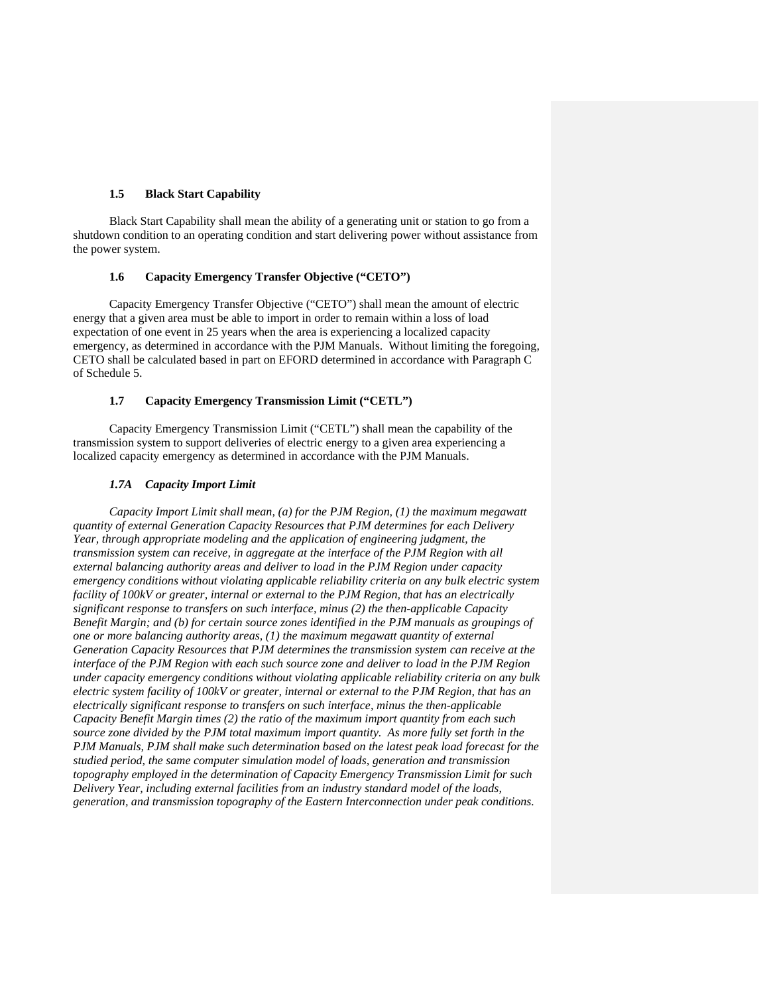## **1.5 Black Start Capability**

Black Start Capability shall mean the ability of a generating unit or station to go from a shutdown condition to an operating condition and start delivering power without assistance from the power system.

# **1.6 Capacity Emergency Transfer Objective ("CETO")**

Capacity Emergency Transfer Objective ("CETO") shall mean the amount of electric energy that a given area must be able to import in order to remain within a loss of load expectation of one event in 25 years when the area is experiencing a localized capacity emergency, as determined in accordance with the PJM Manuals. Without limiting the foregoing, CETO shall be calculated based in part on EFORD determined in accordance with Paragraph C of Schedule 5.

#### **1.7 Capacity Emergency Transmission Limit ("CETL")**

Capacity Emergency Transmission Limit ("CETL") shall mean the capability of the transmission system to support deliveries of electric energy to a given area experiencing a localized capacity emergency as determined in accordance with the PJM Manuals.

#### *1.7A Capacity Import Limit*

 *Capacity Import Limit shall mean, (a) for the PJM Region, (1) the maximum megawatt quantity of external Generation Capacity Resources that PJM determines for each Delivery Year, through appropriate modeling and the application of engineering judgment, the transmission system can receive, in aggregate at the interface of the PJM Region with all external balancing authority areas and deliver to load in the PJM Region under capacity emergency conditions without violating applicable reliability criteria on any bulk electric system facility of 100kV or greater, internal or external to the PJM Region, that has an electrically significant response to transfers on such interface, minus (2) the then-applicable Capacity Benefit Margin; and (b) for certain source zones identified in the PJM manuals as groupings of one or more balancing authority areas, (1) the maximum megawatt quantity of external Generation Capacity Resources that PJM determines the transmission system can receive at the interface of the PJM Region with each such source zone and deliver to load in the PJM Region under capacity emergency conditions without violating applicable reliability criteria on any bulk electric system facility of 100kV or greater, internal or external to the PJM Region, that has an electrically significant response to transfers on such interface, minus the then-applicable Capacity Benefit Margin times (2) the ratio of the maximum import quantity from each such source zone divided by the PJM total maximum import quantity. As more fully set forth in the PJM Manuals, PJM shall make such determination based on the latest peak load forecast for the studied period, the same computer simulation model of loads, generation and transmission topography employed in the determination of Capacity Emergency Transmission Limit for such Delivery Year, including external facilities from an industry standard model of the loads, generation, and transmission topography of the Eastern Interconnection under peak conditions.*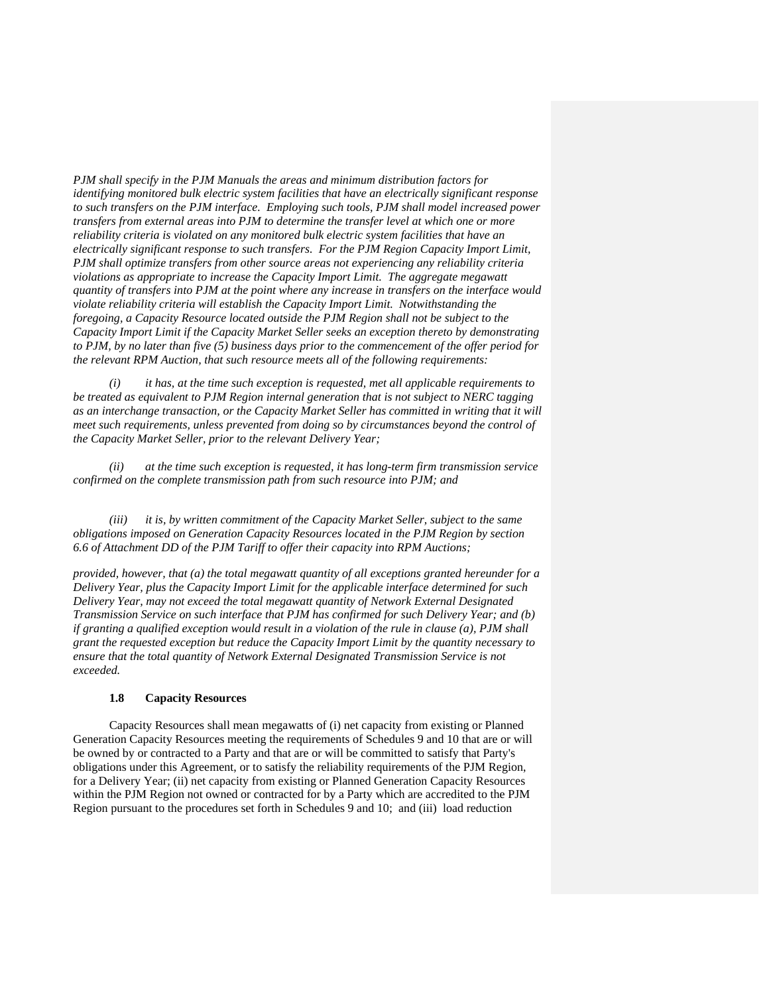*PJM shall specify in the PJM Manuals the areas and minimum distribution factors for identifying monitored bulk electric system facilities that have an electrically significant response to such transfers on the PJM interface. Employing such tools, PJM shall model increased power transfers from external areas into PJM to determine the transfer level at which one or more reliability criteria is violated on any monitored bulk electric system facilities that have an electrically significant response to such transfers. For the PJM Region Capacity Import Limit, PJM shall optimize transfers from other source areas not experiencing any reliability criteria violations as appropriate to increase the Capacity Import Limit. The aggregate megawatt quantity of transfers into PJM at the point where any increase in transfers on the interface would violate reliability criteria will establish the Capacity Import Limit. Notwithstanding the foregoing, a Capacity Resource located outside the PJM Region shall not be subject to the Capacity Import Limit if the Capacity Market Seller seeks an exception thereto by demonstrating to PJM, by no later than five (5) business days prior to the commencement of the offer period for the relevant RPM Auction, that such resource meets all of the following requirements:* 

*(i) it has, at the time such exception is requested, met all applicable requirements to be treated as equivalent to PJM Region internal generation that is not subject to NERC tagging as an interchange transaction, or the Capacity Market Seller has committed in writing that it will meet such requirements, unless prevented from doing so by circumstances beyond the control of the Capacity Market Seller, prior to the relevant Delivery Year;* 

*(ii) at the time such exception is requested, it has long-term firm transmission service confirmed on the complete transmission path from such resource into PJM; and* 

*(iii) it is, by written commitment of the Capacity Market Seller, subject to the same obligations imposed on Generation Capacity Resources located in the PJM Region by section 6.6 of Attachment DD of the PJM Tariff to offer their capacity into RPM Auctions;* 

*provided, however, that (a) the total megawatt quantity of all exceptions granted hereunder for a Delivery Year, plus the Capacity Import Limit for the applicable interface determined for such Delivery Year, may not exceed the total megawatt quantity of Network External Designated Transmission Service on such interface that PJM has confirmed for such Delivery Year; and (b) if granting a qualified exception would result in a violation of the rule in clause (a), PJM shall grant the requested exception but reduce the Capacity Import Limit by the quantity necessary to ensure that the total quantity of Network External Designated Transmission Service is not exceeded.* 

## **1.8 Capacity Resources**

Capacity Resources shall mean megawatts of (i) net capacity from existing or Planned Generation Capacity Resources meeting the requirements of Schedules 9 and 10 that are or will be owned by or contracted to a Party and that are or will be committed to satisfy that Party's obligations under this Agreement, or to satisfy the reliability requirements of the PJM Region, for a Delivery Year; (ii) net capacity from existing or Planned Generation Capacity Resources within the PJM Region not owned or contracted for by a Party which are accredited to the PJM Region pursuant to the procedures set forth in Schedules 9 and 10; and (iii) load reduction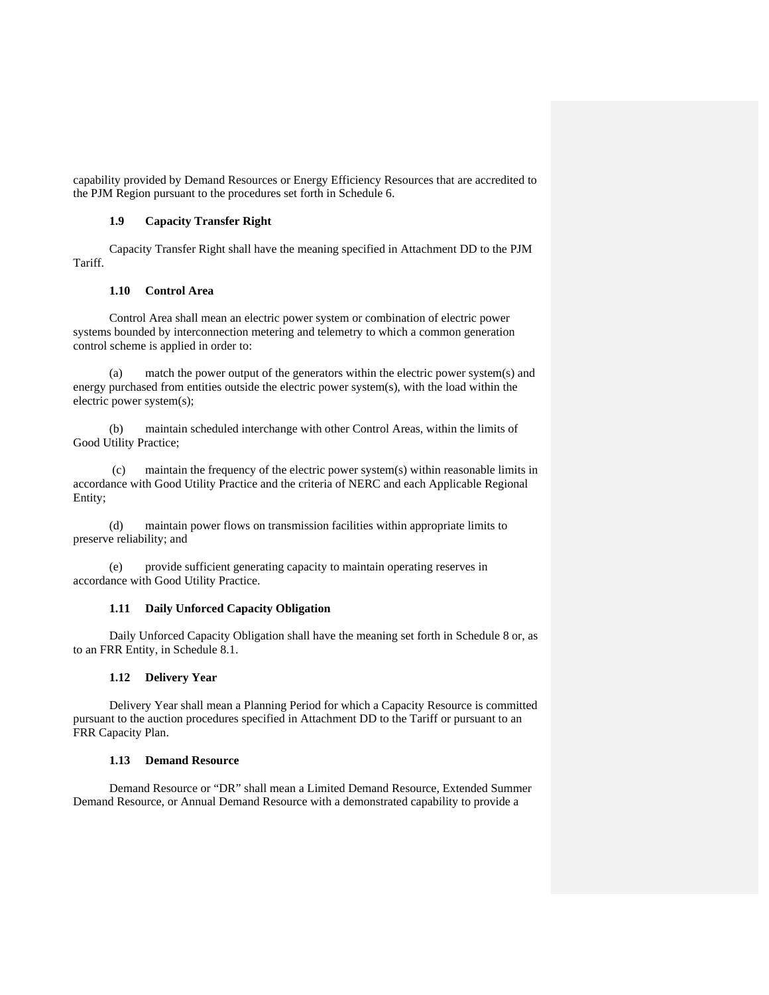capability provided by Demand Resources or Energy Efficiency Resources that are accredited to the PJM Region pursuant to the procedures set forth in Schedule 6.

#### **1.9 Capacity Transfer Right**

Capacity Transfer Right shall have the meaning specified in Attachment DD to the PJM Tariff.

#### **1.10 Control Area**

Control Area shall mean an electric power system or combination of electric power systems bounded by interconnection metering and telemetry to which a common generation control scheme is applied in order to:

 (a) match the power output of the generators within the electric power system(s) and energy purchased from entities outside the electric power system(s), with the load within the electric power system(s);

 (b) maintain scheduled interchange with other Control Areas, within the limits of Good Utility Practice;

 (c) maintain the frequency of the electric power system(s) within reasonable limits in accordance with Good Utility Practice and the criteria of NERC and each Applicable Regional Entity;

 (d) maintain power flows on transmission facilities within appropriate limits to preserve reliability; and

 (e) provide sufficient generating capacity to maintain operating reserves in accordance with Good Utility Practice.

## **1.11 Daily Unforced Capacity Obligation**

Daily Unforced Capacity Obligation shall have the meaning set forth in Schedule 8 or, as to an FRR Entity, in Schedule 8.1.

## **1.12 Delivery Year**

Delivery Year shall mean a Planning Period for which a Capacity Resource is committed pursuant to the auction procedures specified in Attachment DD to the Tariff or pursuant to an FRR Capacity Plan.

## **1.13 Demand Resource**

Demand Resource or "DR" shall mean a Limited Demand Resource, Extended Summer Demand Resource, or Annual Demand Resource with a demonstrated capability to provide a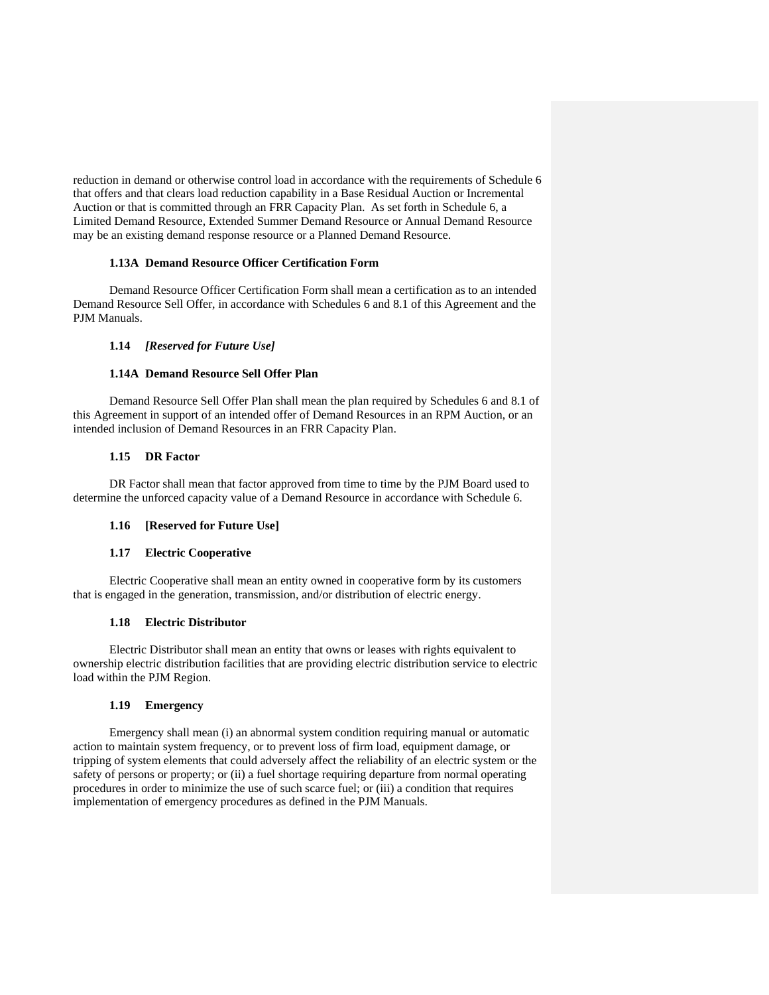reduction in demand or otherwise control load in accordance with the requirements of Schedule 6 that offers and that clears load reduction capability in a Base Residual Auction or Incremental Auction or that is committed through an FRR Capacity Plan. As set forth in Schedule 6, a Limited Demand Resource, Extended Summer Demand Resource or Annual Demand Resource may be an existing demand response resource or a Planned Demand Resource.

## **1.13A Demand Resource Officer Certification Form**

Demand Resource Officer Certification Form shall mean a certification as to an intended Demand Resource Sell Offer, in accordance with Schedules 6 and 8.1 of this Agreement and the PJM Manuals.

# **1.14** *[Reserved for Future Use]*

## **1.14A Demand Resource Sell Offer Plan**

Demand Resource Sell Offer Plan shall mean the plan required by Schedules 6 and 8.1 of this Agreement in support of an intended offer of Demand Resources in an RPM Auction, or an intended inclusion of Demand Resources in an FRR Capacity Plan.

## **1.15 DR Factor**

DR Factor shall mean that factor approved from time to time by the PJM Board used to determine the unforced capacity value of a Demand Resource in accordance with Schedule 6.

## **1.16 [Reserved for Future Use]**

## **1.17 Electric Cooperative**

Electric Cooperative shall mean an entity owned in cooperative form by its customers that is engaged in the generation, transmission, and/or distribution of electric energy.

## **1.18 Electric Distributor**

Electric Distributor shall mean an entity that owns or leases with rights equivalent to ownership electric distribution facilities that are providing electric distribution service to electric load within the PJM Region.

# **1.19 Emergency**

Emergency shall mean (i) an abnormal system condition requiring manual or automatic action to maintain system frequency, or to prevent loss of firm load, equipment damage, or tripping of system elements that could adversely affect the reliability of an electric system or the safety of persons or property; or (ii) a fuel shortage requiring departure from normal operating procedures in order to minimize the use of such scarce fuel; or (iii) a condition that requires implementation of emergency procedures as defined in the PJM Manuals.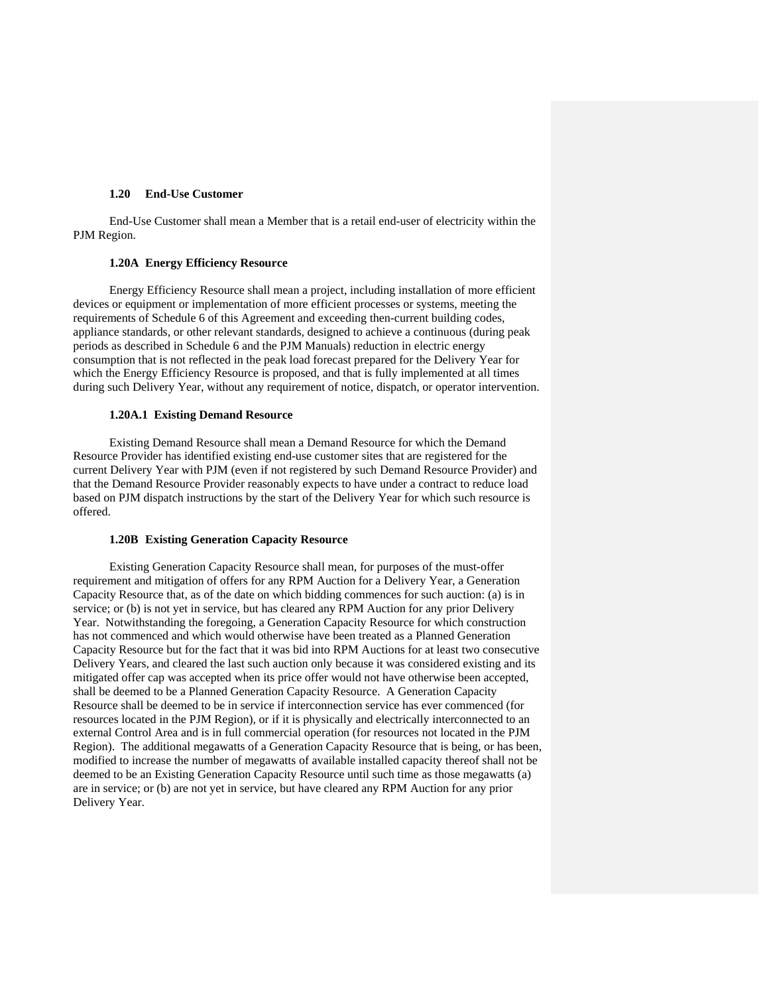## **1.20 End-Use Customer**

End-Use Customer shall mean a Member that is a retail end-user of electricity within the PJM Region.

# **1.20A Energy Efficiency Resource**

Energy Efficiency Resource shall mean a project, including installation of more efficient devices or equipment or implementation of more efficient processes or systems, meeting the requirements of Schedule 6 of this Agreement and exceeding then-current building codes, appliance standards, or other relevant standards, designed to achieve a continuous (during peak periods as described in Schedule 6 and the PJM Manuals) reduction in electric energy consumption that is not reflected in the peak load forecast prepared for the Delivery Year for which the Energy Efficiency Resource is proposed, and that is fully implemented at all times during such Delivery Year, without any requirement of notice, dispatch, or operator intervention.

#### **1.20A.1 Existing Demand Resource**

Existing Demand Resource shall mean a Demand Resource for which the Demand Resource Provider has identified existing end-use customer sites that are registered for the current Delivery Year with PJM (even if not registered by such Demand Resource Provider) and that the Demand Resource Provider reasonably expects to have under a contract to reduce load based on PJM dispatch instructions by the start of the Delivery Year for which such resource is offered.

#### **1.20B Existing Generation Capacity Resource**

Existing Generation Capacity Resource shall mean, for purposes of the must-offer requirement and mitigation of offers for any RPM Auction for a Delivery Year, a Generation Capacity Resource that, as of the date on which bidding commences for such auction: (a) is in service; or (b) is not yet in service, but has cleared any RPM Auction for any prior Delivery Year. Notwithstanding the foregoing, a Generation Capacity Resource for which construction has not commenced and which would otherwise have been treated as a Planned Generation Capacity Resource but for the fact that it was bid into RPM Auctions for at least two consecutive Delivery Years, and cleared the last such auction only because it was considered existing and its mitigated offer cap was accepted when its price offer would not have otherwise been accepted, shall be deemed to be a Planned Generation Capacity Resource. A Generation Capacity Resource shall be deemed to be in service if interconnection service has ever commenced (for resources located in the PJM Region), or if it is physically and electrically interconnected to an external Control Area and is in full commercial operation (for resources not located in the PJM Region). The additional megawatts of a Generation Capacity Resource that is being, or has been, modified to increase the number of megawatts of available installed capacity thereof shall not be deemed to be an Existing Generation Capacity Resource until such time as those megawatts (a) are in service; or (b) are not yet in service, but have cleared any RPM Auction for any prior Delivery Year.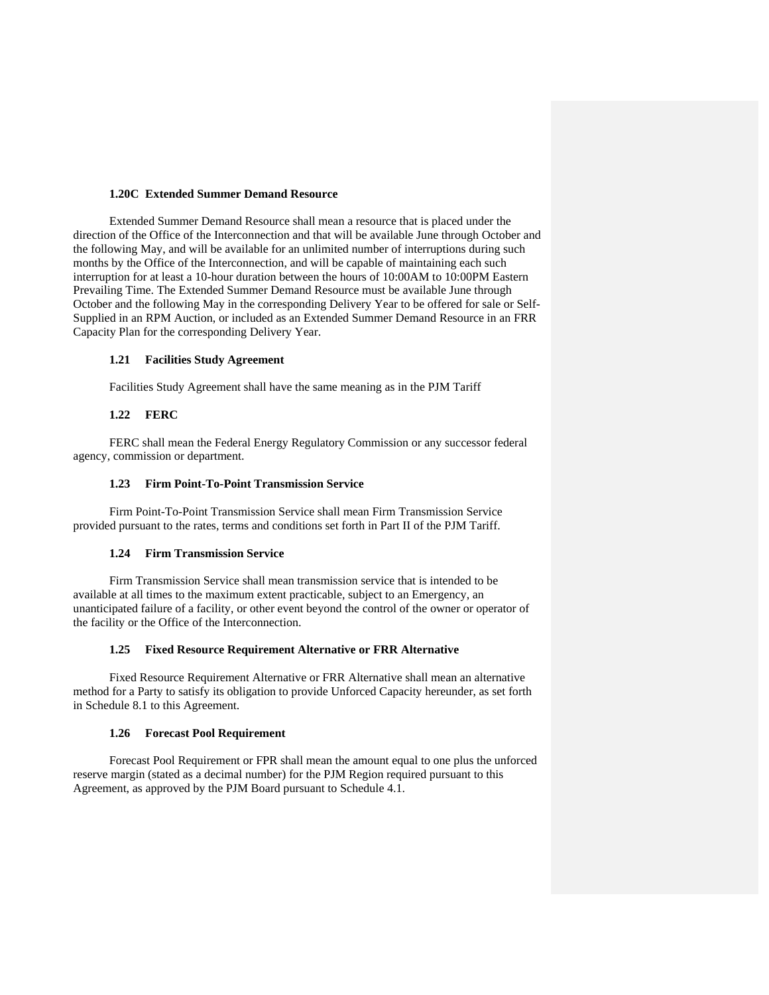## **1.20C Extended Summer Demand Resource**

 Extended Summer Demand Resource shall mean a resource that is placed under the direction of the Office of the Interconnection and that will be available June through October and the following May, and will be available for an unlimited number of interruptions during such months by the Office of the Interconnection, and will be capable of maintaining each such interruption for at least a 10-hour duration between the hours of 10:00AM to 10:00PM Eastern Prevailing Time. The Extended Summer Demand Resource must be available June through October and the following May in the corresponding Delivery Year to be offered for sale or Self-Supplied in an RPM Auction, or included as an Extended Summer Demand Resource in an FRR Capacity Plan for the corresponding Delivery Year.

## **1.21 Facilities Study Agreement**

Facilities Study Agreement shall have the same meaning as in the PJM Tariff

## **1.22 FERC**

FERC shall mean the Federal Energy Regulatory Commission or any successor federal agency, commission or department.

## **1.23 Firm Point-To-Point Transmission Service**

Firm Point-To-Point Transmission Service shall mean Firm Transmission Service provided pursuant to the rates, terms and conditions set forth in Part II of the PJM Tariff.

## **1.24 Firm Transmission Service**

Firm Transmission Service shall mean transmission service that is intended to be available at all times to the maximum extent practicable, subject to an Emergency, an unanticipated failure of a facility, or other event beyond the control of the owner or operator of the facility or the Office of the Interconnection.

## **1.25 Fixed Resource Requirement Alternative or FRR Alternative**

Fixed Resource Requirement Alternative or FRR Alternative shall mean an alternative method for a Party to satisfy its obligation to provide Unforced Capacity hereunder, as set forth in Schedule 8.1 to this Agreement.

## **1.26 Forecast Pool Requirement**

Forecast Pool Requirement or FPR shall mean the amount equal to one plus the unforced reserve margin (stated as a decimal number) for the PJM Region required pursuant to this Agreement, as approved by the PJM Board pursuant to Schedule 4.1.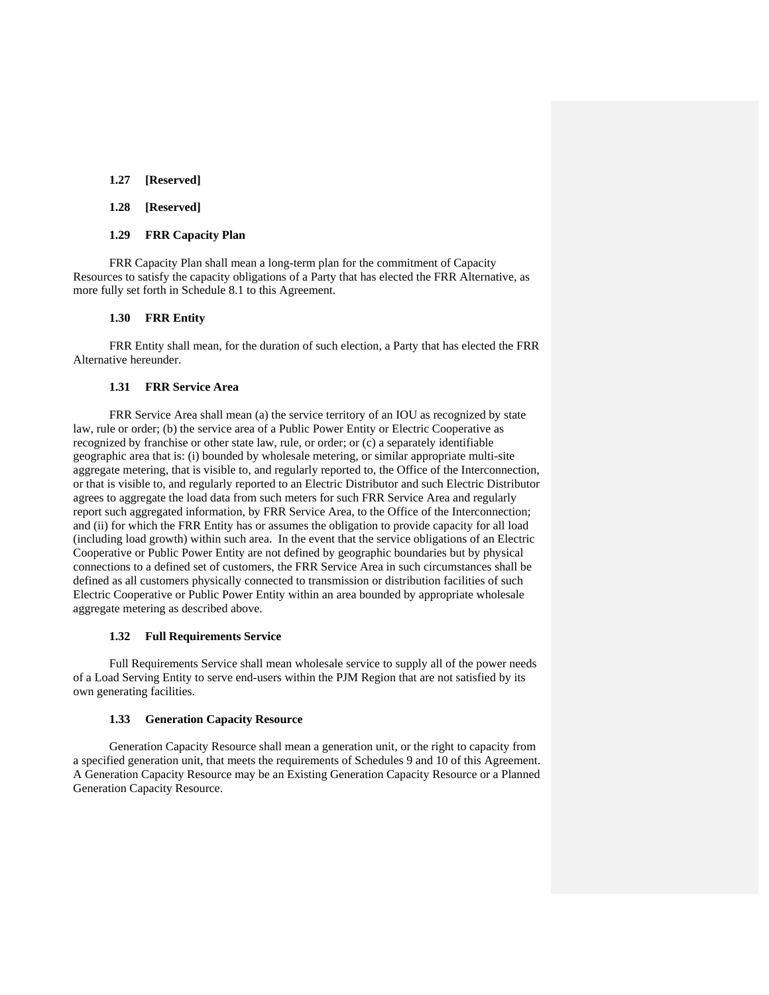# **1.27 [Reserved]**

## **1.28 [Reserved]**

#### **1.29 FRR Capacity Plan**

FRR Capacity Plan shall mean a long-term plan for the commitment of Capacity Resources to satisfy the capacity obligations of a Party that has elected the FRR Alternative, as more fully set forth in Schedule 8.1 to this Agreement.

#### **1.30 FRR Entity**

FRR Entity shall mean, for the duration of such election, a Party that has elected the FRR Alternative hereunder.

# **1.31 FRR Service Area**

FRR Service Area shall mean (a) the service territory of an IOU as recognized by state law, rule or order; (b) the service area of a Public Power Entity or Electric Cooperative as recognized by franchise or other state law, rule, or order; or (c) a separately identifiable geographic area that is: (i) bounded by wholesale metering, or similar appropriate multi-site aggregate metering, that is visible to, and regularly reported to, the Office of the Interconnection, or that is visible to, and regularly reported to an Electric Distributor and such Electric Distributor agrees to aggregate the load data from such meters for such FRR Service Area and regularly report such aggregated information, by FRR Service Area, to the Office of the Interconnection; and (ii) for which the FRR Entity has or assumes the obligation to provide capacity for all load (including load growth) within such area. In the event that the service obligations of an Electric Cooperative or Public Power Entity are not defined by geographic boundaries but by physical connections to a defined set of customers, the FRR Service Area in such circumstances shall be defined as all customers physically connected to transmission or distribution facilities of such Electric Cooperative or Public Power Entity within an area bounded by appropriate wholesale aggregate metering as described above.

#### **1.32 Full Requirements Service**

Full Requirements Service shall mean wholesale service to supply all of the power needs of a Load Serving Entity to serve end-users within the PJM Region that are not satisfied by its own generating facilities.

#### **1.33 Generation Capacity Resource**

Generation Capacity Resource shall mean a generation unit, or the right to capacity from a specified generation unit, that meets the requirements of Schedules 9 and 10 of this Agreement. A Generation Capacity Resource may be an Existing Generation Capacity Resource or a Planned Generation Capacity Resource.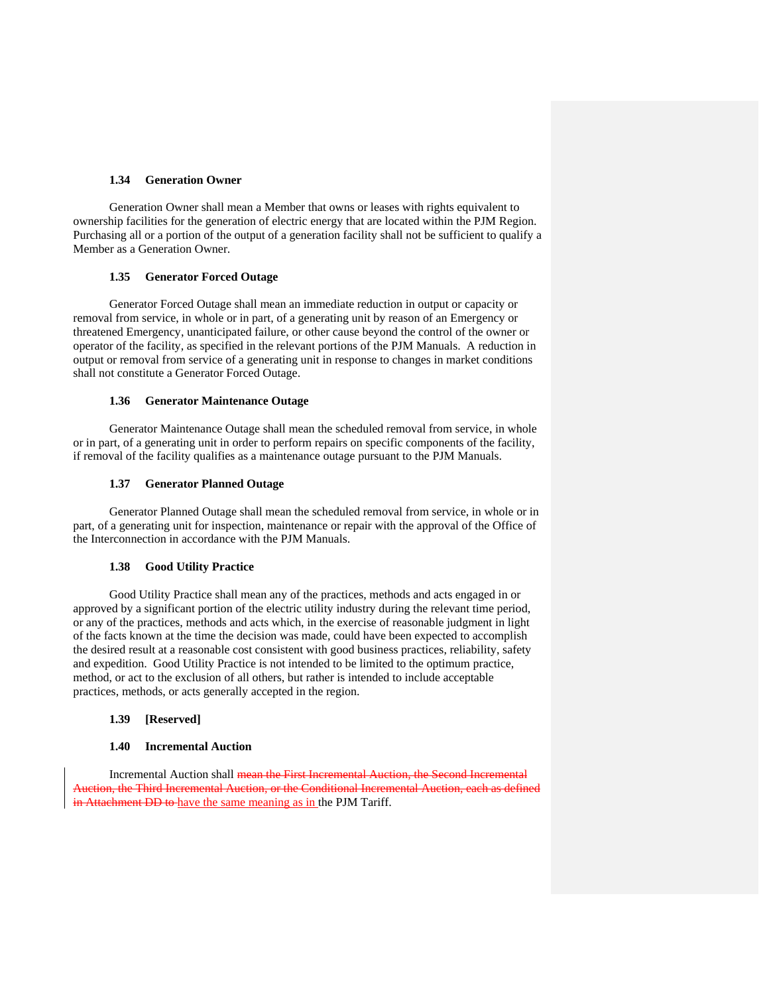# **1.34 Generation Owner**

Generation Owner shall mean a Member that owns or leases with rights equivalent to ownership facilities for the generation of electric energy that are located within the PJM Region. Purchasing all or a portion of the output of a generation facility shall not be sufficient to qualify a Member as a Generation Owner.

#### **1.35 Generator Forced Outage**

Generator Forced Outage shall mean an immediate reduction in output or capacity or removal from service, in whole or in part, of a generating unit by reason of an Emergency or threatened Emergency, unanticipated failure, or other cause beyond the control of the owner or operator of the facility, as specified in the relevant portions of the PJM Manuals. A reduction in output or removal from service of a generating unit in response to changes in market conditions shall not constitute a Generator Forced Outage.

#### **1.36 Generator Maintenance Outage**

Generator Maintenance Outage shall mean the scheduled removal from service, in whole or in part, of a generating unit in order to perform repairs on specific components of the facility, if removal of the facility qualifies as a maintenance outage pursuant to the PJM Manuals.

#### **1.37 Generator Planned Outage**

Generator Planned Outage shall mean the scheduled removal from service, in whole or in part, of a generating unit for inspection, maintenance or repair with the approval of the Office of the Interconnection in accordance with the PJM Manuals.

#### **1.38 Good Utility Practice**

Good Utility Practice shall mean any of the practices, methods and acts engaged in or approved by a significant portion of the electric utility industry during the relevant time period, or any of the practices, methods and acts which, in the exercise of reasonable judgment in light of the facts known at the time the decision was made, could have been expected to accomplish the desired result at a reasonable cost consistent with good business practices, reliability, safety and expedition. Good Utility Practice is not intended to be limited to the optimum practice, method, or act to the exclusion of all others, but rather is intended to include acceptable practices, methods, or acts generally accepted in the region.

## **1.39 [Reserved]**

#### **1.40 Incremental Auction**

Incremental Auction shall mean the First Incremental Auction, the Second Incremental Auction, the Third Incremental Auction, or the Conditional Incremental Auction, each as defined in Attachment DD to have the same meaning as in the PJM Tariff.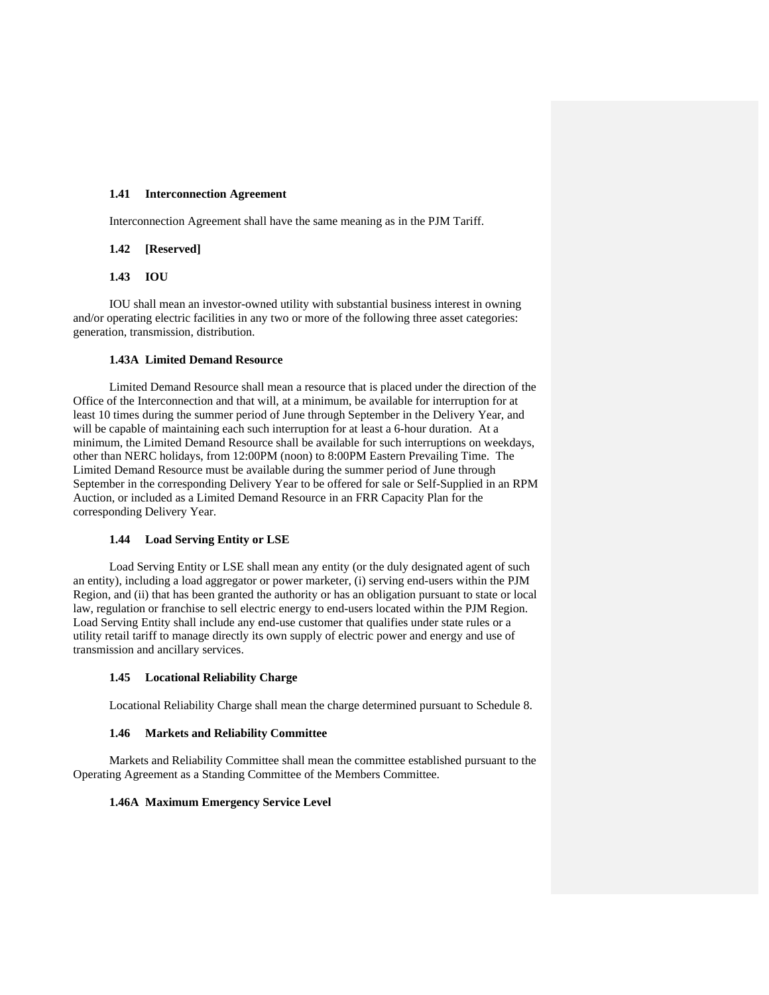## **1.41 Interconnection Agreement**

Interconnection Agreement shall have the same meaning as in the PJM Tariff.

# **1.42 [Reserved]**

## **1.43 IOU**

IOU shall mean an investor-owned utility with substantial business interest in owning and/or operating electric facilities in any two or more of the following three asset categories: generation, transmission, distribution.

## **1.43A Limited Demand Resource**

Limited Demand Resource shall mean a resource that is placed under the direction of the Office of the Interconnection and that will, at a minimum, be available for interruption for at least 10 times during the summer period of June through September in the Delivery Year, and will be capable of maintaining each such interruption for at least a 6-hour duration. At a minimum, the Limited Demand Resource shall be available for such interruptions on weekdays, other than NERC holidays, from 12:00PM (noon) to 8:00PM Eastern Prevailing Time. The Limited Demand Resource must be available during the summer period of June through September in the corresponding Delivery Year to be offered for sale or Self-Supplied in an RPM Auction, or included as a Limited Demand Resource in an FRR Capacity Plan for the corresponding Delivery Year.

## **1.44 Load Serving Entity or LSE**

Load Serving Entity or LSE shall mean any entity (or the duly designated agent of such an entity), including a load aggregator or power marketer, (i) serving end-users within the PJM Region, and (ii) that has been granted the authority or has an obligation pursuant to state or local law, regulation or franchise to sell electric energy to end-users located within the PJM Region. Load Serving Entity shall include any end-use customer that qualifies under state rules or a utility retail tariff to manage directly its own supply of electric power and energy and use of transmission and ancillary services.

## **1.45 Locational Reliability Charge**

Locational Reliability Charge shall mean the charge determined pursuant to Schedule 8.

## **1.46 Markets and Reliability Committee**

Markets and Reliability Committee shall mean the committee established pursuant to the Operating Agreement as a Standing Committee of the Members Committee.

## **1.46A Maximum Emergency Service Level**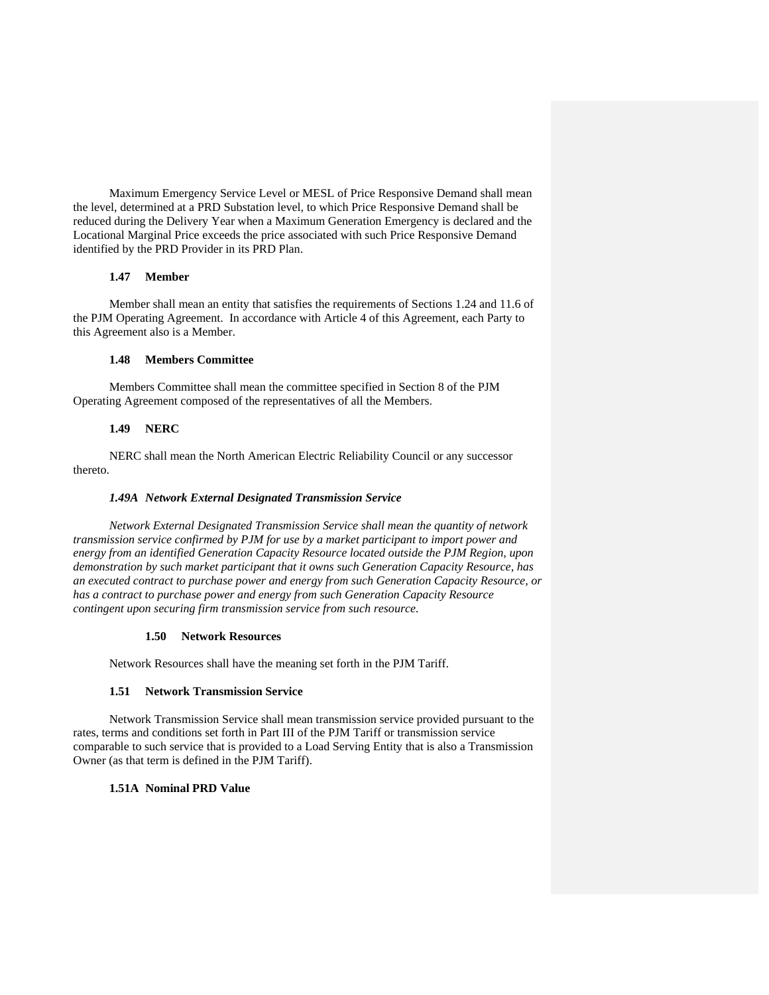Maximum Emergency Service Level or MESL of Price Responsive Demand shall mean the level, determined at a PRD Substation level, to which Price Responsive Demand shall be reduced during the Delivery Year when a Maximum Generation Emergency is declared and the Locational Marginal Price exceeds the price associated with such Price Responsive Demand identified by the PRD Provider in its PRD Plan.

## **1.47 Member**

Member shall mean an entity that satisfies the requirements of Sections 1.24 and 11.6 of the PJM Operating Agreement. In accordance with Article 4 of this Agreement, each Party to this Agreement also is a Member.

## **1.48 Members Committee**

Members Committee shall mean the committee specified in Section 8 of the PJM Operating Agreement composed of the representatives of all the Members.

# **1.49 NERC**

NERC shall mean the North American Electric Reliability Council or any successor thereto.

#### *1.49A Network External Designated Transmission Service*

*Network External Designated Transmission Service shall mean the quantity of network transmission service confirmed by PJM for use by a market participant to import power and energy from an identified Generation Capacity Resource located outside the PJM Region, upon demonstration by such market participant that it owns such Generation Capacity Resource, has an executed contract to purchase power and energy from such Generation Capacity Resource, or has a contract to purchase power and energy from such Generation Capacity Resource contingent upon securing firm transmission service from such resource.* 

#### **1.50 Network Resources**

Network Resources shall have the meaning set forth in the PJM Tariff.

## **1.51 Network Transmission Service**

Network Transmission Service shall mean transmission service provided pursuant to the rates, terms and conditions set forth in Part III of the PJM Tariff or transmission service comparable to such service that is provided to a Load Serving Entity that is also a Transmission Owner (as that term is defined in the PJM Tariff).

# **1.51A Nominal PRD Value**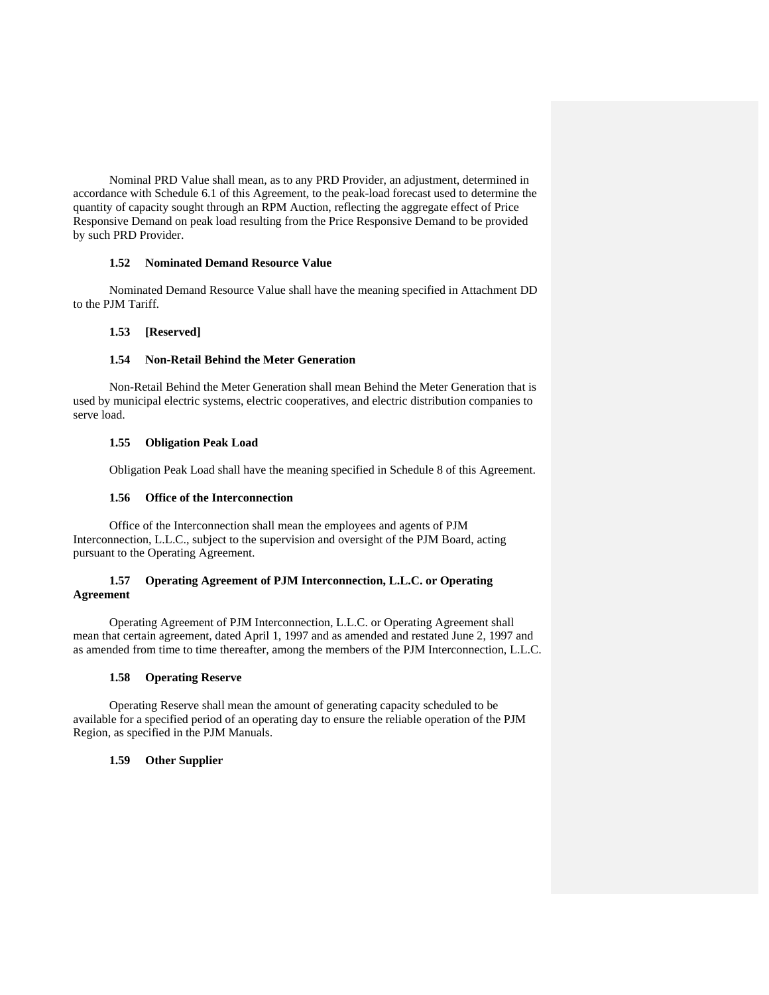Nominal PRD Value shall mean, as to any PRD Provider, an adjustment, determined in accordance with Schedule 6.1 of this Agreement, to the peak-load forecast used to determine the quantity of capacity sought through an RPM Auction, reflecting the aggregate effect of Price Responsive Demand on peak load resulting from the Price Responsive Demand to be provided by such PRD Provider.

# **1.52 Nominated Demand Resource Value**

Nominated Demand Resource Value shall have the meaning specified in Attachment DD to the PJM Tariff.

# **1.53 [Reserved]**

# **1.54 Non-Retail Behind the Meter Generation**

Non-Retail Behind the Meter Generation shall mean Behind the Meter Generation that is used by municipal electric systems, electric cooperatives, and electric distribution companies to serve load.

## **1.55 Obligation Peak Load**

Obligation Peak Load shall have the meaning specified in Schedule 8 of this Agreement.

## **1.56 Office of the Interconnection**

Office of the Interconnection shall mean the employees and agents of PJM Interconnection, L.L.C., subject to the supervision and oversight of the PJM Board, acting pursuant to the Operating Agreement.

## **1.57 Operating Agreement of PJM Interconnection, L.L.C. or Operating Agreement**

Operating Agreement of PJM Interconnection, L.L.C. or Operating Agreement shall mean that certain agreement, dated April 1, 1997 and as amended and restated June 2, 1997 and as amended from time to time thereafter, among the members of the PJM Interconnection, L.L.C.

# **1.58 Operating Reserve**

Operating Reserve shall mean the amount of generating capacity scheduled to be available for a specified period of an operating day to ensure the reliable operation of the PJM Region, as specified in the PJM Manuals.

## **1.59 Other Supplier**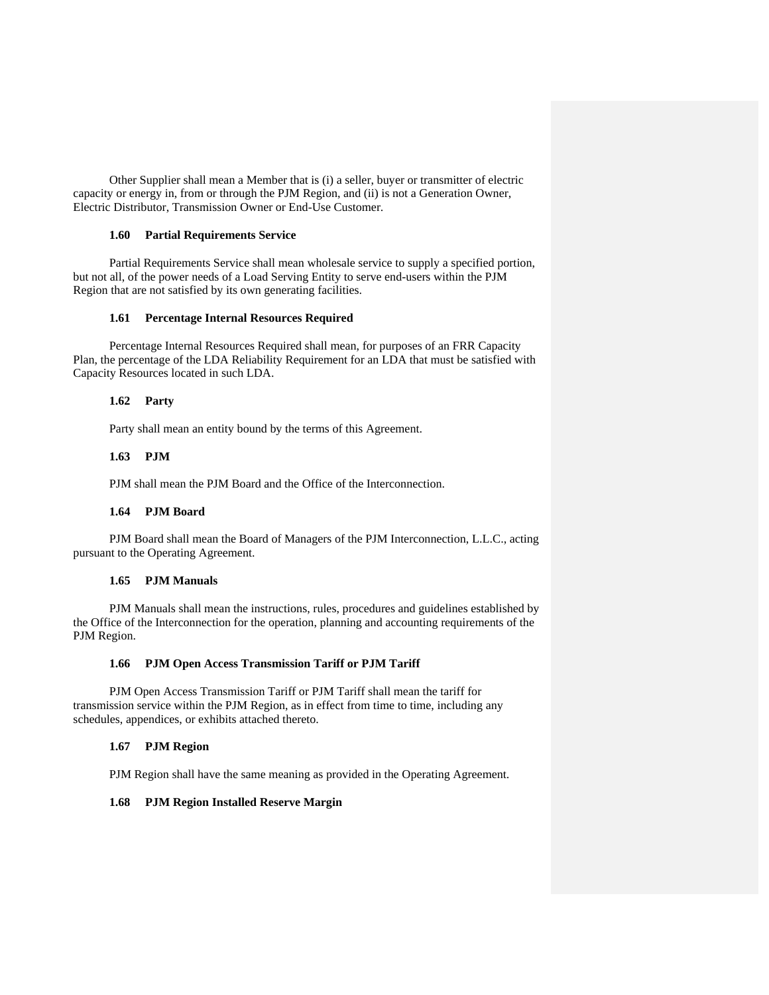Other Supplier shall mean a Member that is (i) a seller, buyer or transmitter of electric capacity or energy in, from or through the PJM Region, and (ii) is not a Generation Owner, Electric Distributor, Transmission Owner or End-Use Customer.

#### **1.60 Partial Requirements Service**

Partial Requirements Service shall mean wholesale service to supply a specified portion, but not all, of the power needs of a Load Serving Entity to serve end-users within the PJM Region that are not satisfied by its own generating facilities.

#### **1.61 Percentage Internal Resources Required**

Percentage Internal Resources Required shall mean, for purposes of an FRR Capacity Plan, the percentage of the LDA Reliability Requirement for an LDA that must be satisfied with Capacity Resources located in such LDA.

## **1.62 Party**

Party shall mean an entity bound by the terms of this Agreement.

## **1.63 PJM**

PJM shall mean the PJM Board and the Office of the Interconnection.

## **1.64 PJM Board**

PJM Board shall mean the Board of Managers of the PJM Interconnection, L.L.C., acting pursuant to the Operating Agreement.

## **1.65 PJM Manuals**

PJM Manuals shall mean the instructions, rules, procedures and guidelines established by the Office of the Interconnection for the operation, planning and accounting requirements of the PJM Region.

## **1.66 PJM Open Access Transmission Tariff or PJM Tariff**

PJM Open Access Transmission Tariff or PJM Tariff shall mean the tariff for transmission service within the PJM Region, as in effect from time to time, including any schedules, appendices, or exhibits attached thereto.

## **1.67 PJM Region**

PJM Region shall have the same meaning as provided in the Operating Agreement.

## **1.68 PJM Region Installed Reserve Margin**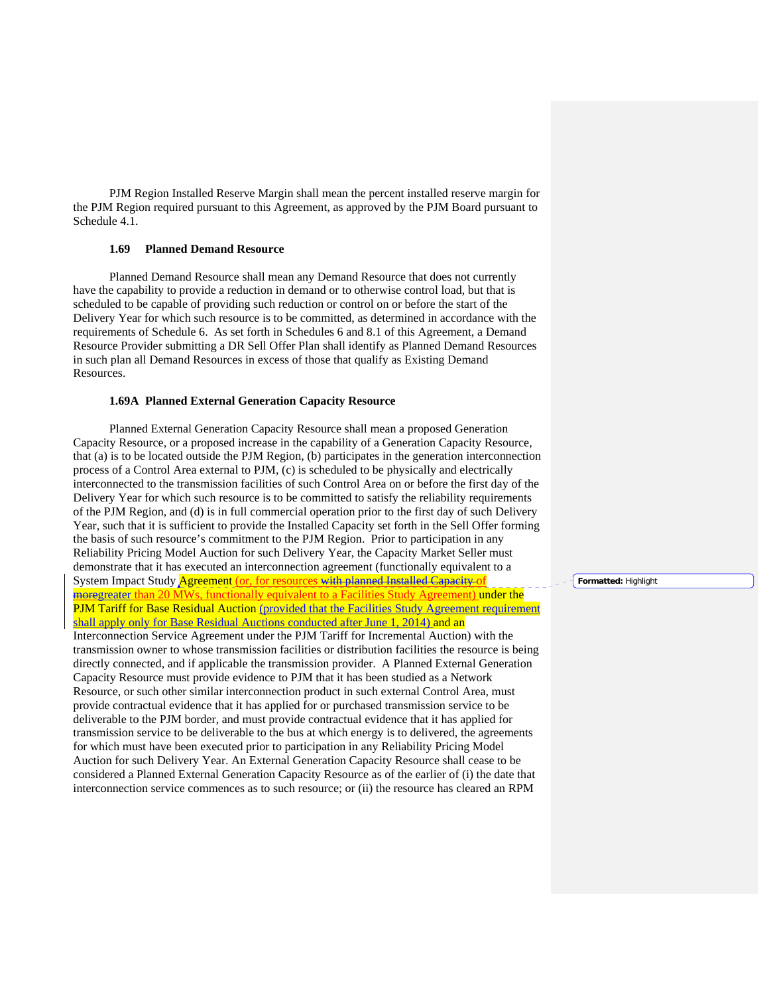PJM Region Installed Reserve Margin shall mean the percent installed reserve margin for the PJM Region required pursuant to this Agreement, as approved by the PJM Board pursuant to Schedule 4.1.

## **1.69 Planned Demand Resource**

Planned Demand Resource shall mean any Demand Resource that does not currently have the capability to provide a reduction in demand or to otherwise control load, but that is scheduled to be capable of providing such reduction or control on or before the start of the Delivery Year for which such resource is to be committed, as determined in accordance with the requirements of Schedule 6. As set forth in Schedules 6 and 8.1 of this Agreement, a Demand Resource Provider submitting a DR Sell Offer Plan shall identify as Planned Demand Resources in such plan all Demand Resources in excess of those that qualify as Existing Demand Resources.

#### **1.69A Planned External Generation Capacity Resource**

Planned External Generation Capacity Resource shall mean a proposed Generation Capacity Resource, or a proposed increase in the capability of a Generation Capacity Resource, that (a) is to be located outside the PJM Region, (b) participates in the generation interconnection process of a Control Area external to PJM, (c) is scheduled to be physically and electrically interconnected to the transmission facilities of such Control Area on or before the first day of the Delivery Year for which such resource is to be committed to satisfy the reliability requirements of the PJM Region, and (d) is in full commercial operation prior to the first day of such Delivery Year, such that it is sufficient to provide the Installed Capacity set forth in the Sell Offer forming the basis of such resource's commitment to the PJM Region. Prior to participation in any Reliability Pricing Model Auction for such Delivery Year, the Capacity Market Seller must demonstrate that it has executed an interconnection agreement (functionally equivalent to a System Impact Study **Agreement** (or, for resources with planned Installed Capacity of moregreater than 20 MWs, functionally equivalent to a Facilities Study Agreement) under the PJM Tariff for Base Residual Auction (provided that the Facilities Study Agreement requirement shall apply only for Base Residual Auctions conducted after June 1, 2014) and an Interconnection Service Agreement under the PJM Tariff for Incremental Auction) with the transmission owner to whose transmission facilities or distribution facilities the resource is being directly connected, and if applicable the transmission provider. A Planned External Generation Capacity Resource must provide evidence to PJM that it has been studied as a Network Resource, or such other similar interconnection product in such external Control Area, must provide contractual evidence that it has applied for or purchased transmission service to be deliverable to the PJM border, and must provide contractual evidence that it has applied for transmission service to be deliverable to the bus at which energy is to delivered, the agreements for which must have been executed prior to participation in any Reliability Pricing Model Auction for such Delivery Year. An External Generation Capacity Resource shall cease to be considered a Planned External Generation Capacity Resource as of the earlier of (i) the date that interconnection service commences as to such resource; or (ii) the resource has cleared an RPM

**Formatted:** Highlight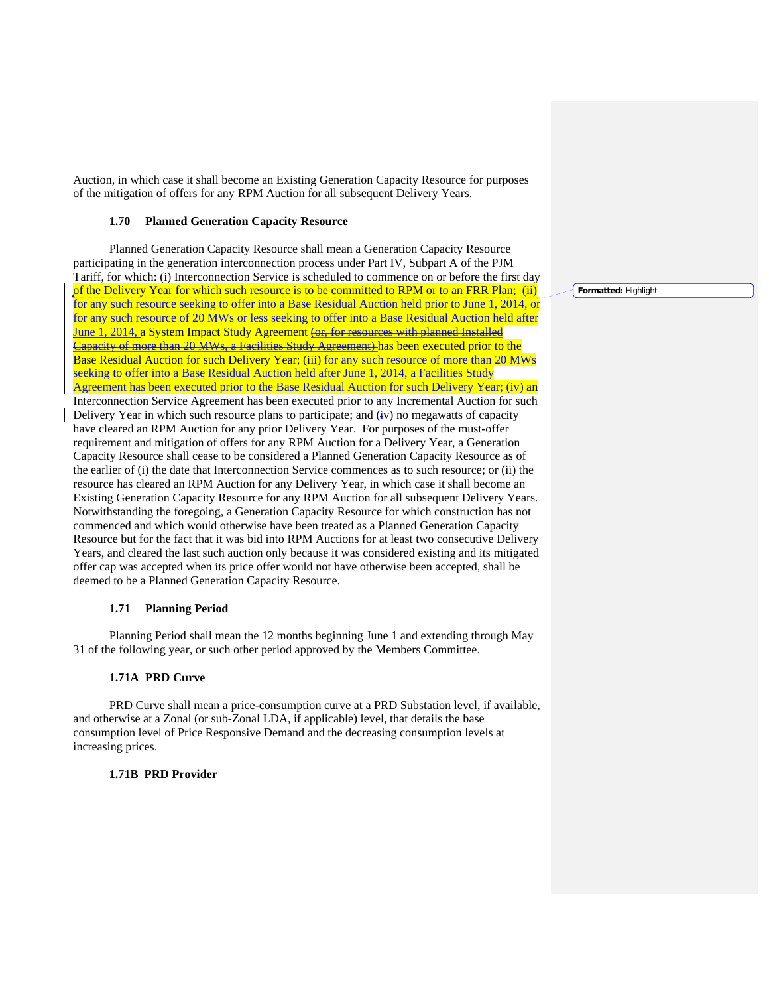Auction, in which case it shall become an Existing Generation Capacity Resource for purposes of the mitigation of offers for any RPM Auction for all subsequent Delivery Years.

#### **1.70 Planned Generation Capacity Resource**

Planned Generation Capacity Resource shall mean a Generation Capacity Resource participating in the generation interconnection process under Part IV, Subpart A of the PJM Tariff, for which: (i) Interconnection Service is scheduled to commence on or before the first day of the Delivery Year for which such resource is to be committed to RPM or to an FRR Plan; (ii) for any such resource seeking to offer into a Base Residual Auction held prior to June 1, 2014, or for any such resource of 20 MWs or less seeking to offer into a Base Residual Auction held after June 1, 2014, a System Impact Study Agreement (or, for resources with planned Installed Capacity of more than 20 MWs, a Facilities Study Agreement) has been executed prior to the Base Residual Auction for such Delivery Year; (iii) for any such resource of more than 20 MWs seeking to offer into a Base Residual Auction held after June 1, 2014, a Facilities Study Agreement has been executed prior to the Base Residual Auction for such Delivery Year; (iv) an Interconnection Service Agreement has been executed prior to any Incremental Auction for such Delivery Year in which such resource plans to participate; and (iv) no megawatts of capacity have cleared an RPM Auction for any prior Delivery Year. For purposes of the must-offer requirement and mitigation of offers for any RPM Auction for a Delivery Year, a Generation Capacity Resource shall cease to be considered a Planned Generation Capacity Resource as of the earlier of (i) the date that Interconnection Service commences as to such resource; or (ii) the resource has cleared an RPM Auction for any Delivery Year, in which case it shall become an Existing Generation Capacity Resource for any RPM Auction for all subsequent Delivery Years. Notwithstanding the foregoing, a Generation Capacity Resource for which construction has not commenced and which would otherwise have been treated as a Planned Generation Capacity Resource but for the fact that it was bid into RPM Auctions for at least two consecutive Delivery Years, and cleared the last such auction only because it was considered existing and its mitigated offer cap was accepted when its price offer would not have otherwise been accepted, shall be deemed to be a Planned Generation Capacity Resource.

## **1.71 Planning Period**

Planning Period shall mean the 12 months beginning June 1 and extending through May 31 of the following year, or such other period approved by the Members Committee.

## **1.71A PRD Curve**

PRD Curve shall mean a price-consumption curve at a PRD Substation level, if available, and otherwise at a Zonal (or sub-Zonal LDA, if applicable) level, that details the base consumption level of Price Responsive Demand and the decreasing consumption levels at increasing prices.

#### **1.71B PRD Provider**

**Formatted:** Highlight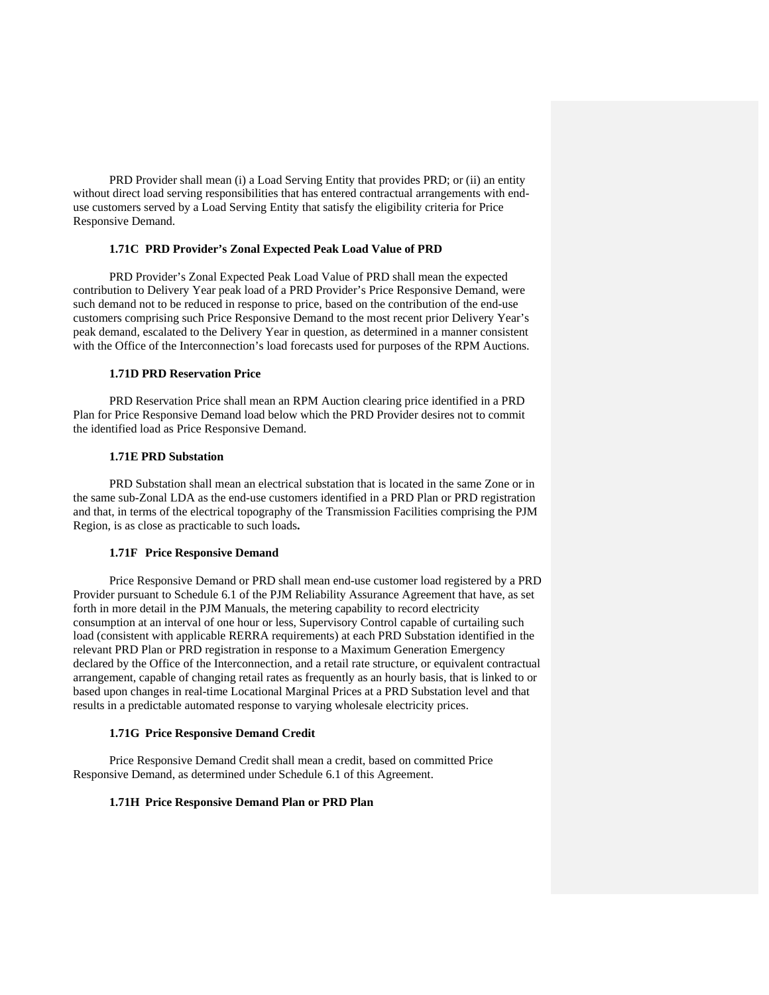PRD Provider shall mean (i) a Load Serving Entity that provides PRD; or (ii) an entity without direct load serving responsibilities that has entered contractual arrangements with enduse customers served by a Load Serving Entity that satisfy the eligibility criteria for Price Responsive Demand.

## **1.71C PRD Provider's Zonal Expected Peak Load Value of PRD**

PRD Provider's Zonal Expected Peak Load Value of PRD shall mean the expected contribution to Delivery Year peak load of a PRD Provider's Price Responsive Demand, were such demand not to be reduced in response to price, based on the contribution of the end-use customers comprising such Price Responsive Demand to the most recent prior Delivery Year's peak demand, escalated to the Delivery Year in question, as determined in a manner consistent with the Office of the Interconnection's load forecasts used for purposes of the RPM Auctions.

#### **1.71D PRD Reservation Price**

PRD Reservation Price shall mean an RPM Auction clearing price identified in a PRD Plan for Price Responsive Demand load below which the PRD Provider desires not to commit the identified load as Price Responsive Demand.

#### **1.71E PRD Substation**

PRD Substation shall mean an electrical substation that is located in the same Zone or in the same sub-Zonal LDA as the end-use customers identified in a PRD Plan or PRD registration and that, in terms of the electrical topography of the Transmission Facilities comprising the PJM Region, is as close as practicable to such loads**.**

# **1.71F Price Responsive Demand**

Price Responsive Demand or PRD shall mean end-use customer load registered by a PRD Provider pursuant to Schedule 6.1 of the PJM Reliability Assurance Agreement that have, as set forth in more detail in the PJM Manuals, the metering capability to record electricity consumption at an interval of one hour or less, Supervisory Control capable of curtailing such load (consistent with applicable RERRA requirements) at each PRD Substation identified in the relevant PRD Plan or PRD registration in response to a Maximum Generation Emergency declared by the Office of the Interconnection, and a retail rate structure, or equivalent contractual arrangement, capable of changing retail rates as frequently as an hourly basis, that is linked to or based upon changes in real-time Locational Marginal Prices at a PRD Substation level and that results in a predictable automated response to varying wholesale electricity prices.

## **1.71G Price Responsive Demand Credit**

Price Responsive Demand Credit shall mean a credit, based on committed Price Responsive Demand, as determined under Schedule 6.1 of this Agreement.

## **1.71H Price Responsive Demand Plan or PRD Plan**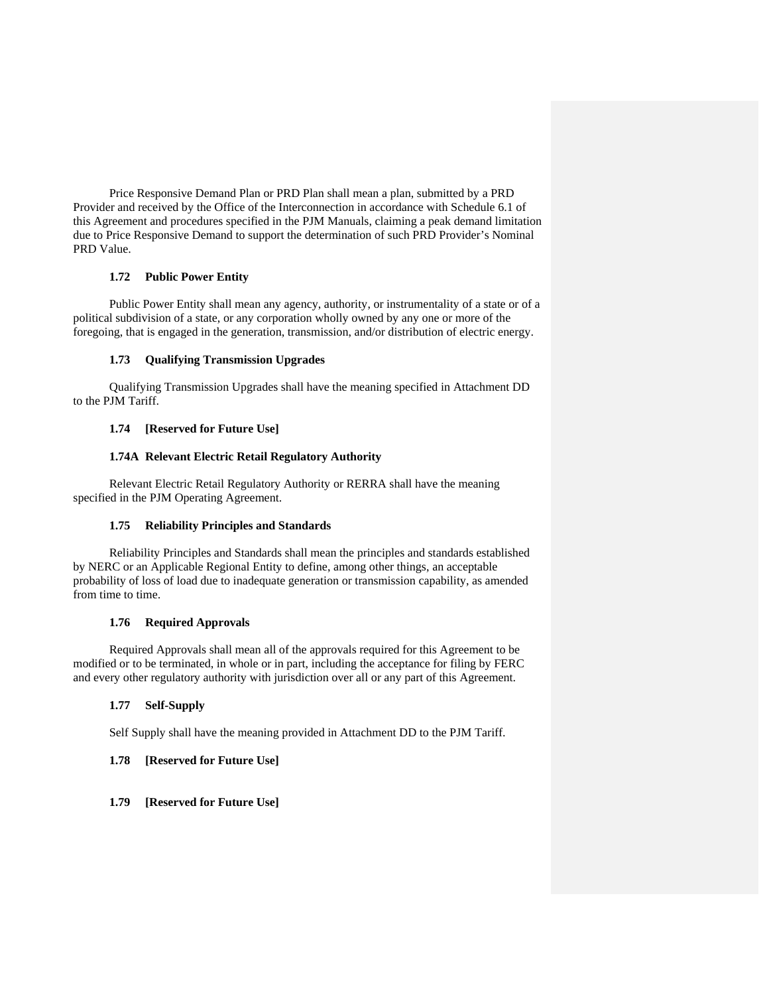Price Responsive Demand Plan or PRD Plan shall mean a plan, submitted by a PRD Provider and received by the Office of the Interconnection in accordance with Schedule 6.1 of this Agreement and procedures specified in the PJM Manuals, claiming a peak demand limitation due to Price Responsive Demand to support the determination of such PRD Provider's Nominal PRD Value.

# **1.72 Public Power Entity**

Public Power Entity shall mean any agency, authority, or instrumentality of a state or of a political subdivision of a state, or any corporation wholly owned by any one or more of the foregoing, that is engaged in the generation, transmission, and/or distribution of electric energy.

# **1.73 Qualifying Transmission Upgrades**

Qualifying Transmission Upgrades shall have the meaning specified in Attachment DD to the PJM Tariff.

# **1.74 [Reserved for Future Use]**

## **1.74A Relevant Electric Retail Regulatory Authority**

Relevant Electric Retail Regulatory Authority or RERRA shall have the meaning specified in the PJM Operating Agreement.

## **1.75 Reliability Principles and Standards**

Reliability Principles and Standards shall mean the principles and standards established by NERC or an Applicable Regional Entity to define, among other things, an acceptable probability of loss of load due to inadequate generation or transmission capability, as amended from time to time.

## **1.76 Required Approvals**

Required Approvals shall mean all of the approvals required for this Agreement to be modified or to be terminated, in whole or in part, including the acceptance for filing by FERC and every other regulatory authority with jurisdiction over all or any part of this Agreement.

# **1.77 Self-Supply**

Self Supply shall have the meaning provided in Attachment DD to the PJM Tariff.

# **1.78 [Reserved for Future Use]**

## **1.79 [Reserved for Future Use]**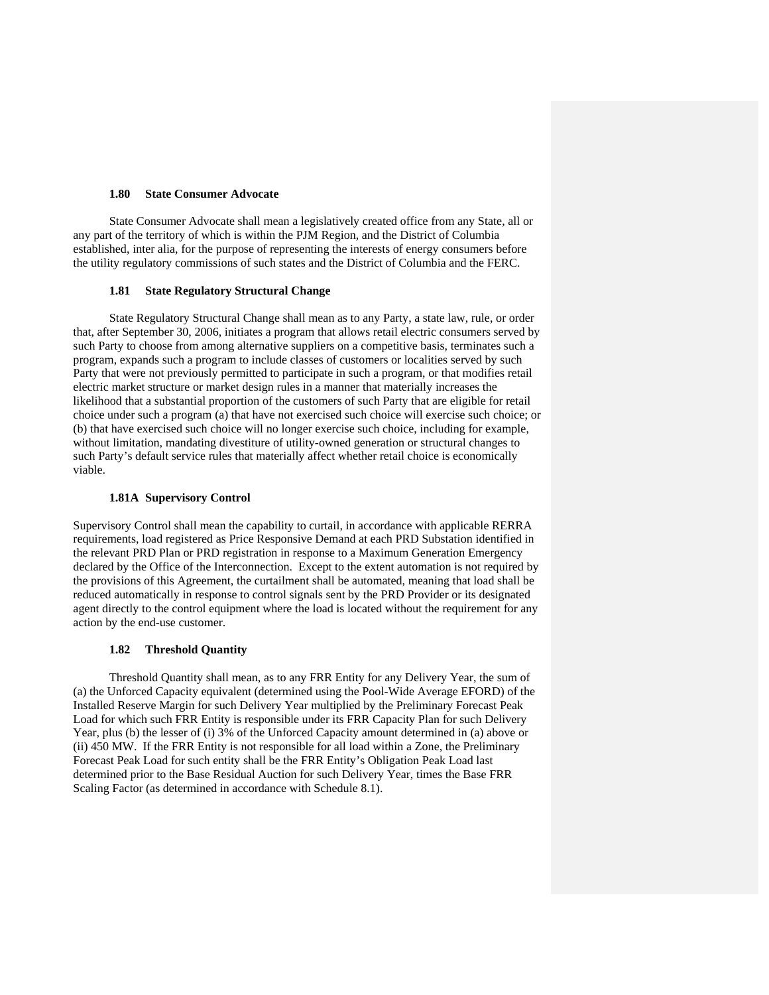## **1.80 State Consumer Advocate**

State Consumer Advocate shall mean a legislatively created office from any State, all or any part of the territory of which is within the PJM Region, and the District of Columbia established, inter alia, for the purpose of representing the interests of energy consumers before the utility regulatory commissions of such states and the District of Columbia and the FERC.

#### **1.81 State Regulatory Structural Change**

State Regulatory Structural Change shall mean as to any Party, a state law, rule, or order that, after September 30, 2006, initiates a program that allows retail electric consumers served by such Party to choose from among alternative suppliers on a competitive basis, terminates such a program, expands such a program to include classes of customers or localities served by such Party that were not previously permitted to participate in such a program, or that modifies retail electric market structure or market design rules in a manner that materially increases the likelihood that a substantial proportion of the customers of such Party that are eligible for retail choice under such a program (a) that have not exercised such choice will exercise such choice; or (b) that have exercised such choice will no longer exercise such choice, including for example, without limitation, mandating divestiture of utility-owned generation or structural changes to such Party's default service rules that materially affect whether retail choice is economically viable.

# **1.81A Supervisory Control**

Supervisory Control shall mean the capability to curtail, in accordance with applicable RERRA requirements, load registered as Price Responsive Demand at each PRD Substation identified in the relevant PRD Plan or PRD registration in response to a Maximum Generation Emergency declared by the Office of the Interconnection. Except to the extent automation is not required by the provisions of this Agreement, the curtailment shall be automated, meaning that load shall be reduced automatically in response to control signals sent by the PRD Provider or its designated agent directly to the control equipment where the load is located without the requirement for any action by the end-use customer.

#### **1.82 Threshold Quantity**

Threshold Quantity shall mean, as to any FRR Entity for any Delivery Year, the sum of (a) the Unforced Capacity equivalent (determined using the Pool-Wide Average EFORD) of the Installed Reserve Margin for such Delivery Year multiplied by the Preliminary Forecast Peak Load for which such FRR Entity is responsible under its FRR Capacity Plan for such Delivery Year, plus (b) the lesser of (i) 3% of the Unforced Capacity amount determined in (a) above or (ii) 450 MW. If the FRR Entity is not responsible for all load within a Zone, the Preliminary Forecast Peak Load for such entity shall be the FRR Entity's Obligation Peak Load last determined prior to the Base Residual Auction for such Delivery Year, times the Base FRR Scaling Factor (as determined in accordance with Schedule 8.1).